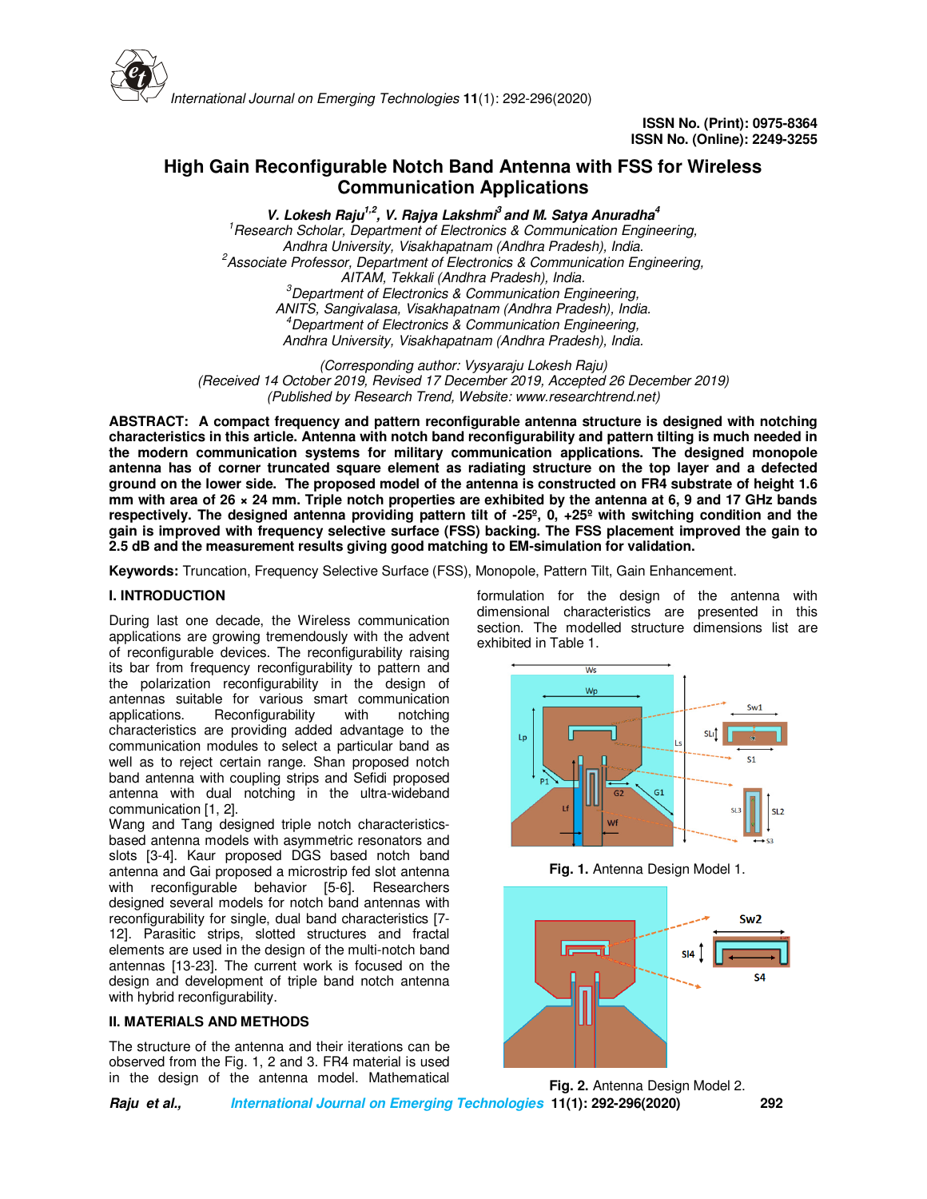

# **High Gain Reconfigurable Notch Band Antenna with FSS for Wireless Communication Applications**

**V. Lokesh Raju1,2, V. Rajya Lakshmi<sup>3</sup>and M. Satya Anuradha<sup>4</sup>** *<sup>1</sup>Research Scholar, Department of Electronics & Communication Engineering, Andhra University, Visakhapatnam (Andhra Pradesh), India. <sup>2</sup>Associate Professor, Department of Electronics & Communication Engineering, AITAM, Tekkali (Andhra Pradesh), India. <sup>3</sup>Department of Electronics & Communication Engineering, ANITS, Sangivalasa, Visakhapatnam (Andhra Pradesh), India. <sup>4</sup>Department of Electronics & Communication Engineering, Andhra University, Visakhapatnam (Andhra Pradesh), India.*

*(Corresponding author: Vysyaraju Lokesh Raju) (Received 14 October 2019, Revised 17 December 2019, Accepted 26 December 2019) (Published by Research Trend, Website: www.researchtrend.net)*

**ABSTRACT: A compact frequency and pattern reconfigurable antenna structure is designed with notching characteristics in this article. Antenna with notch band reconfigurability and pattern tilting is much needed in the modern communication systems for military communication applications. The designed monopole antenna has of corner truncated square element as radiating structure on the top layer and a defected ground on the lower side. The proposed model of the antenna is constructed on FR4 substrate of height 1.6 mm with area of 26 × 24 mm. Triple notch properties are exhibited by the antenna at 6, 9 and 17 GHz bands respectively. The designed antenna providing pattern tilt of -25º, 0, +25º with switching condition and the gain is improved with frequency selective surface (FSS) backing. The FSS placement improved the gain to 2.5 dB and the measurement results giving good matching to EM-simulation for validation.**

**Keywords:** Truncation, Frequency Selective Surface (FSS), Monopole, Pattern Tilt, Gain Enhancement.

#### **I. INTRODUCTION**

During last one decade, the Wireless communication applications are growing tremendously with the advent of reconfigurable devices. The reconfigurability raising its bar from frequency reconfigurability to pattern and the polarization reconfigurability in the design of antennas suitable for various smart communication applications. Reconfigurability with notching characteristics are providing added advantage to the communication modules to select a particular band as well as to reject certain range. Shan proposed notch band antenna with coupling strips and Sefidi proposed antenna with dual notching in the ultra-wideband communication [1, 2].

Wang and Tang designed triple notch characteristicsbased antenna models with asymmetric resonators and slots [3-4]. Kaur proposed DGS based notch band antenna and Gai proposed a microstrip fed slot antenna with reconfigurable behavior [5-6]. Researchers designed several models for notch band antennas with reconfigurability for single, dual band characteristics [7- 12]. Parasitic strips, slotted structures and fractal elements are used in the design of the multi-notch band antennas [13-23]. The current work is focused on the design and development of triple band notch antenna with hybrid reconfigurability.

## **II. MATERIALS AND METHODS**

The structure of the antenna and their iterations can be observed from the Fig. 1, 2 and 3. FR4 material is used in the design of the antenna model. Mathematical

formulation for the design of the antenna with dimensional characteristics are presented in this section. The modelled structure dimensions list are exhibited in Table 1.



**Fig. 1.** Antenna Design Model 1.



**Fig. 2.** Antenna Design Model 2.

**Raju et al., International Journal on Emerging Technologies 11(1): 292-296(2020) 292**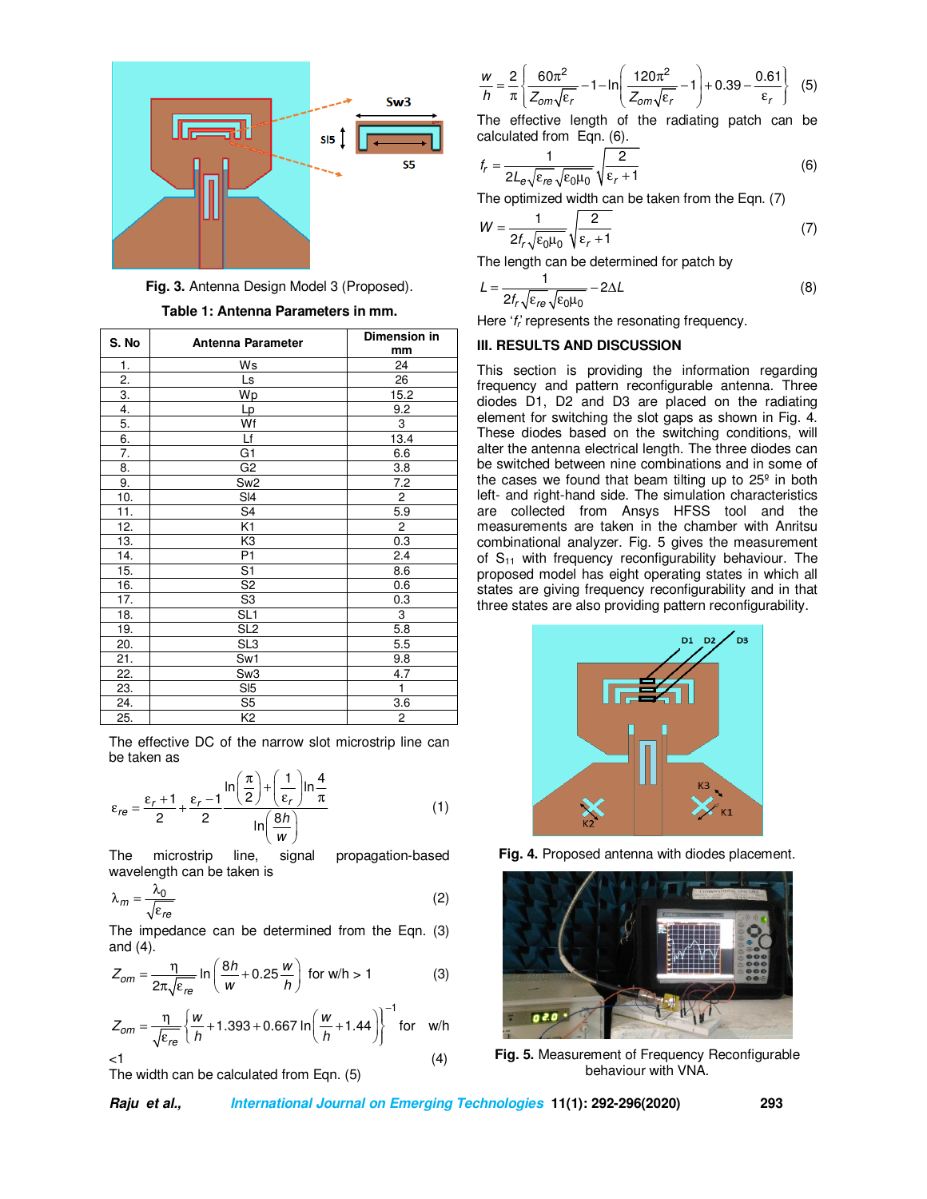

**Fig. 3.** Antenna Design Model 3 (Proposed).

| S. No | Antenna Parameter | Dimension in<br>mm |
|-------|-------------------|--------------------|
| 1.    | Ws                | 24                 |
| 2.    | Ls                | 26                 |
| 3.    | Wp                | 15.2               |
| 4.    | Lp                | 9.2                |
| 5.    | Wf                | 3                  |
| 6.    | Lf                | 13.4               |
| 7.    | G1                | 6.6                |
| 8.    | G <sub>2</sub>    | 3.8                |
| 9.    | Sw <sub>2</sub>   | 7.2                |
| 10.   | SI4               | $\overline{2}$     |
| 11.   | S <sub>4</sub>    | 5.9                |
| 12.   | K1                | $\overline{2}$     |
| 13.   | K3                | 0.3                |
| 14.   | P <sub>1</sub>    | 2.4                |
| 15.   | S <sub>1</sub>    | 8.6                |
| 16.   | S <sub>2</sub>    | 0.6                |
| 17.   | S <sub>3</sub>    | 0.3                |
| 18.   | SL <sub>1</sub>   | 3                  |
| 19.   | SL <sub>2</sub>   | 5.8                |
| 20.   | SL <sub>3</sub>   | 5.5                |
| 21.   | Sw1               | 9.8                |
| 22.   | Sw <sub>3</sub>   | 4.7                |
| 23.   | SI <sub>5</sub>   | $\mathbf{1}$       |
| 24.   | S <sub>5</sub>    | 3.6                |
| 25.   | K <sub>2</sub>    | 2                  |

**Table 1: Antenna Parameters in mm.** 

The effective DC of the narrow slot microstrip line can be taken as

$$
\varepsilon_{re} = \frac{\varepsilon_r + 1}{2} + \frac{\varepsilon_r - 1}{2} \frac{\ln\left(\frac{\pi}{2}\right) + \left(\frac{1}{\varepsilon_r}\right) \ln\frac{4}{\pi}}{\ln\left(\frac{8h}{w}\right)}\tag{1}
$$

The microstrip line, signal propagation-based wavelength can be taken is

$$
\lambda_m = \frac{\lambda_0}{\sqrt{\varepsilon_{re}}} \tag{2}
$$

The impedance can be determined from the Eqn. (3) and  $(4)$ .

$$
Z_{om} = \frac{\eta}{2\pi\sqrt{\varepsilon_{re}}} \ln\left(\frac{8h}{w} + 0.25\frac{w}{h}\right) \text{ for w/h} > 1
$$
 (3)

$$
Z_{om} = \frac{\eta}{\sqrt{\varepsilon_{re}}} \left\{ \frac{w}{h} + 1.393 + 0.667 \ln \left( \frac{w}{h} + 1.44 \right) \right\}^{-1} \text{ for } w/h
$$
  
<1 (4)

The width can be calculated from Eqn. (5)

$$
\frac{w}{h} = \frac{2}{\pi} \left\{ \frac{60\pi^2}{Z_{om}\sqrt{\epsilon_r}} - 1 - \ln\left(\frac{120\pi^2}{Z_{om}\sqrt{\epsilon_r}} - 1\right) + 0.39 - \frac{0.61}{\epsilon_r} \right\}
$$
(5)

The effective length of the radiating patch can be calculated from Eqn. (6).

$$
f_r = \frac{1}{2L_e\sqrt{\varepsilon_{re}}\sqrt{\varepsilon_0\mu_0}}\sqrt{\frac{2}{\varepsilon_r + 1}}
$$
(6)

The optimized width can be taken from the Eqn. (7)

$$
W = \frac{1}{2f_r\sqrt{\varepsilon_0\mu_0}}\sqrt{\frac{2}{\varepsilon_r + 1}}\tag{7}
$$

The length can be determined for patch by

$$
L = \frac{1}{2f_r\sqrt{\varepsilon_{re}}\sqrt{\varepsilon_0\mu_0}} - 2\Delta L
$$
 (8)

Here 'f<sub>r</sub>' represents the resonating frequency.

# **III. RESULTS AND DISCUSSION**

This section is providing the information regarding frequency and pattern reconfigurable antenna. Three diodes D1, D2 and D3 are placed on the radiating element for switching the slot gaps as shown in Fig. 4. These diodes based on the switching conditions, will alter the antenna electrical length. The three diodes can be switched between nine combinations and in some of the cases we found that beam tilting up to  $25<sup>°</sup>$  in both left- and right-hand side. The simulation characteristics are collected from Ansys HFSS tool and the measurements are taken in the chamber with Anritsu combinational analyzer. Fig. 5 gives the measurement of  $S_{11}$  with frequency reconfigurability behaviour. The proposed model has eight operating states in which all states are giving frequency reconfigurability and in that three states are also providing pattern reconfigurability.



**Fig. 4.** Proposed antenna with diodes placement.



**Fig. 5.** Measurement of Frequency Reconfigurable behaviour with VNA.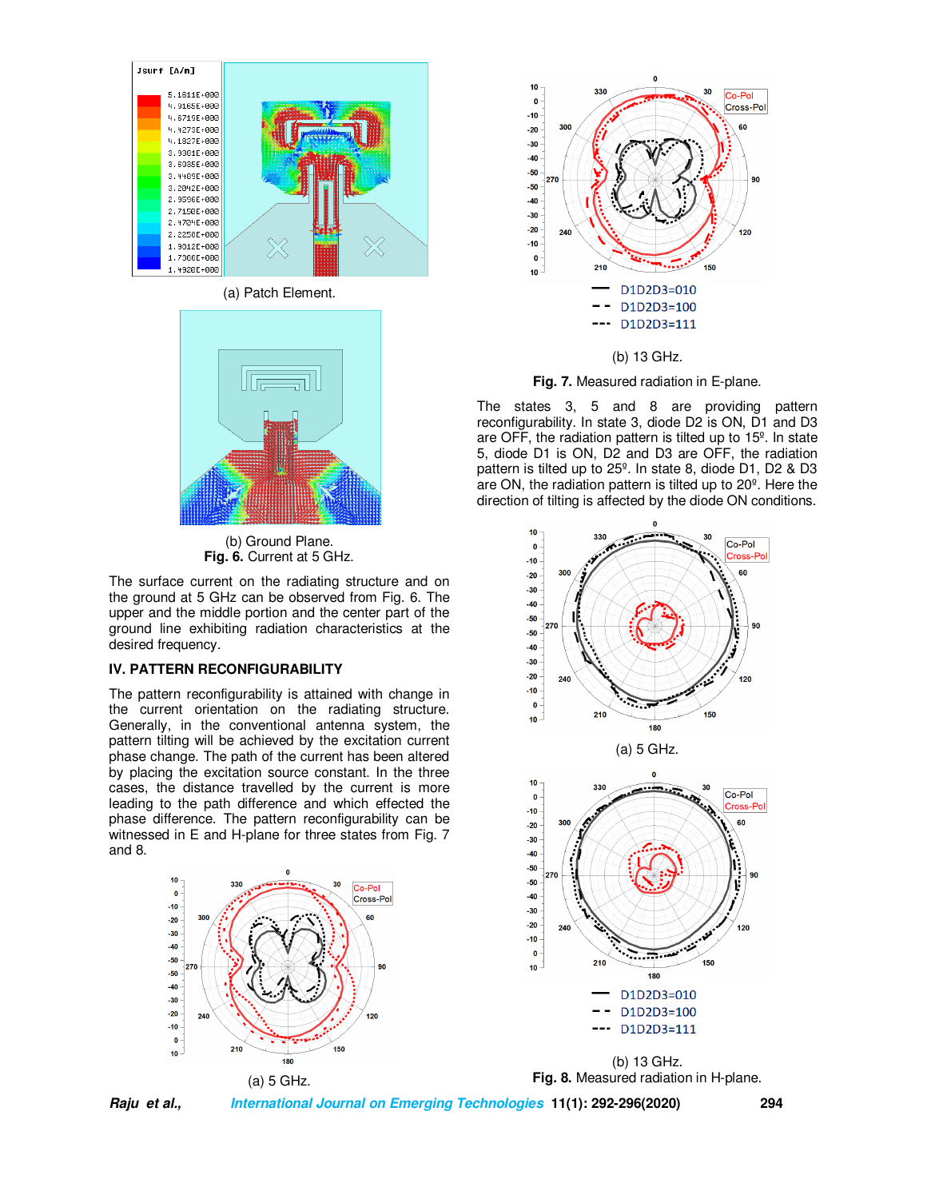

(a) Patch Element.



(b) Ground Plane. **Fig. 6.** Current at 5 GHz.

The surface current on the radiating structure and on the ground at 5 GHz can be observed from Fig. 6. The upper and the middle portion and the center part of the ground line exhibiting radiation characteristics at the desired frequency.

## **IV. PATTERN RECONFIGURABILITY**

The pattern reconfigurability is attained with change in the current orientation on the radiating structure. Generally, in the conventional antenna system, the pattern tilting will be achieved by the excitation current phase change. The path of the current has been altered by placing the excitation source constant. In the three cases, the distance travelled by the current is more leading to the path difference and which effected the phase difference. The pattern reconfigurability can be witnessed in E and H-plane for three states from Fig. 7 and 8.





#### (b) 13 GHz.

**Fig. 7.** Measured radiation in E-plane.

The states 3, 5 and 8 are providing pattern reconfigurability. In state 3, diode D2 is ON, D1 and D3 are OFF, the radiation pattern is tilted up to 15º. In state 5, diode D1 is ON, D2 and D3 are OFF, the radiation pattern is tilted up to 25º. In state 8, diode D1, D2 & D3 are ON, the radiation pattern is tilted up to 20º. Here the direction of tilting is affected by the diode ON conditions.







**Raju et al., International Journal on Emerging Technologies 11(1): 292-296(2020) 294**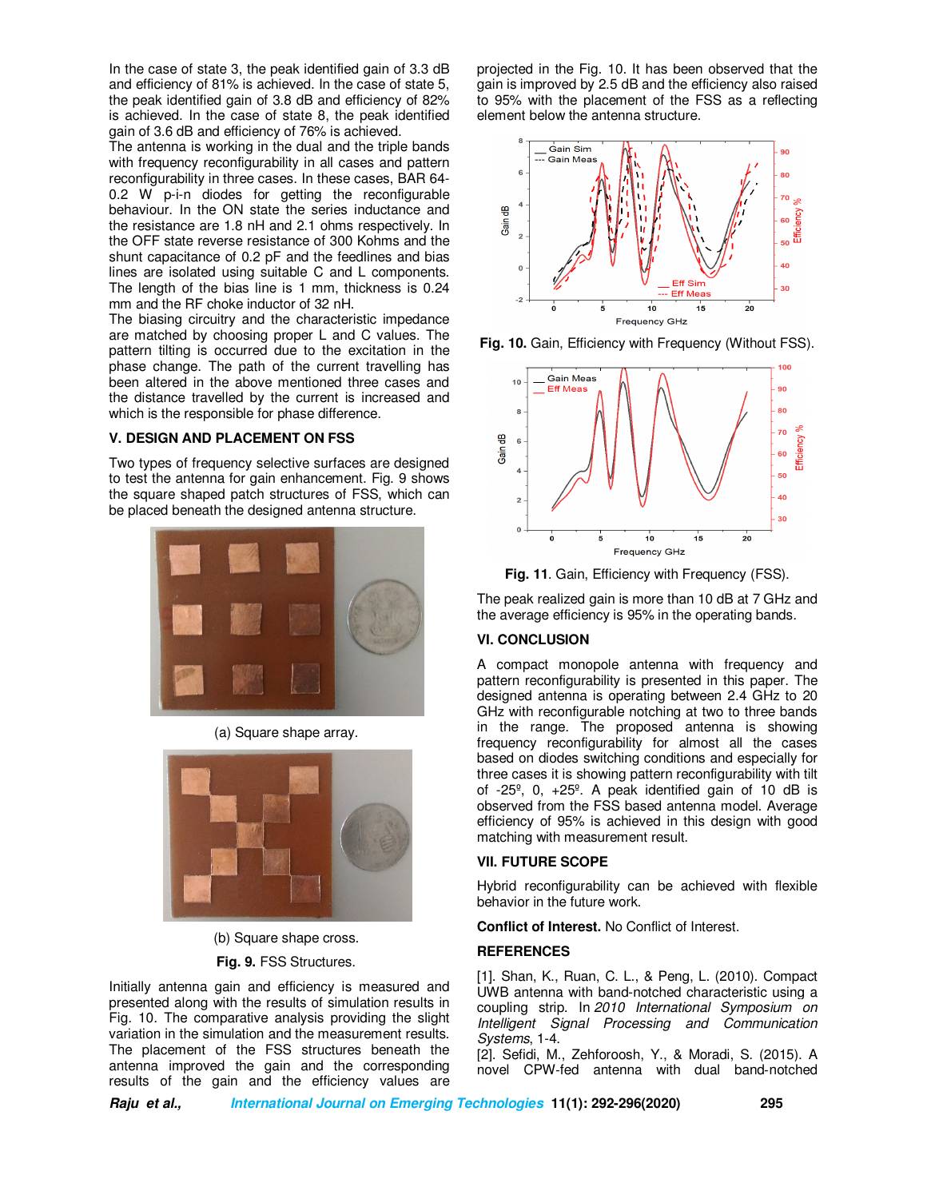In the case of state 3, the peak identified gain of 3.3 dB and efficiency of 81% is achieved. In the case of state 5, the peak identified gain of 3.8 dB and efficiency of 82% is achieved. In the case of state 8, the peak identified gain of 3.6 dB and efficiency of 76% is achieved.

The antenna is working in the dual and the triple bands with frequency reconfigurability in all cases and pattern reconfigurability in three cases. In these cases, BAR 64- 0.2 W p-i-n diodes for getting the reconfigurable behaviour. In the ON state the series inductance and the resistance are 1.8 nH and 2.1 ohms respectively. In the OFF state reverse resistance of 300 Kohms and the shunt capacitance of 0.2 pF and the feedlines and bias lines are isolated using suitable C and L components. The length of the bias line is 1 mm, thickness is 0.24 mm and the RF choke inductor of 32 nH.

The biasing circuitry and the characteristic impedance are matched by choosing proper L and C values. The pattern tilting is occurred due to the excitation in the phase change. The path of the current travelling has been altered in the above mentioned three cases and the distance travelled by the current is increased and which is the responsible for phase difference.

#### **V. DESIGN AND PLACEMENT ON FSS**

Two types of frequency selective surfaces are designed to test the antenna for gain enhancement. Fig. 9 shows the square shaped patch structures of FSS, which can be placed beneath the designed antenna structure.



(a) Square shape array.



(b) Square shape cross.

#### **Fig. 9.** FSS Structures.

Initially antenna gain and efficiency is measured and presented along with the results of simulation results in Fig. 10. The comparative analysis providing the slight variation in the simulation and the measurement results. The placement of the FSS structures beneath the antenna improved the gain and the corresponding results of the gain and the efficiency values are

projected in the Fig. 10. It has been observed that the gain is improved by 2.5 dB and the efficiency also raised to 95% with the placement of the FSS as a reflecting element below the antenna structure.



**Fig. 10.** Gain, Efficiency with Frequency (Without FSS).



**Fig. 11**. Gain, Efficiency with Frequency (FSS).

The peak realized gain is more than 10 dB at 7 GHz and the average efficiency is 95% in the operating bands.

# **VI. CONCLUSION**

A compact monopole antenna with frequency and pattern reconfigurability is presented in this paper. The designed antenna is operating between 2.4 GHz to 20 GHz with reconfigurable notching at two to three bands in the range. The proposed antenna is showing frequency reconfigurability for almost all the cases based on diodes switching conditions and especially for three cases it is showing pattern reconfigurability with tilt of -25º, 0, +25º. A peak identified gain of 10 dB is observed from the FSS based antenna model. Average efficiency of 95% is achieved in this design with good matching with measurement result.

#### **VII. FUTURE SCOPE**

Hybrid reconfigurability can be achieved with flexible behavior in the future work.

**Conflict of Interest.** No Conflict of Interest.

#### **REFERENCES**

[1]. Shan, K., Ruan, C. L., & Peng, L. (2010). Compact UWB antenna with band-notched characteristic using a coupling strip. In *2010 International Symposium on Intelligent Signal Processing and Communication Systems*, 1-4.

[2]. Sefidi, M., Zehforoosh, Y., & Moradi, S. (2015). A novel CPW‐fed antenna with dual band‐notched